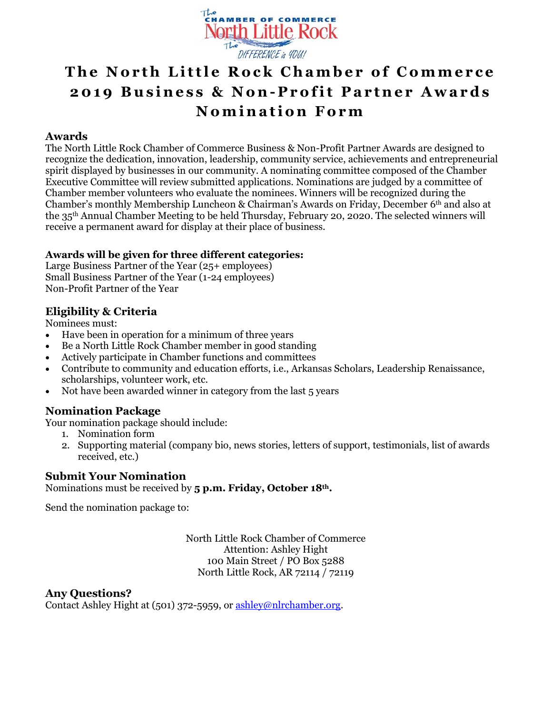

# **The North Little Rock Chamber of Commerce 201 9 B u s i n e s s & N o n- P r o f i t P a r t n e r A w a r d s N o m i n a t i o n F o r m**

#### **Awards**

The North Little Rock Chamber of Commerce Business & Non-Profit Partner Awards are designed to recognize the dedication, innovation, leadership, community service, achievements and entrepreneurial spirit displayed by businesses in our community. A nominating committee composed of the Chamber Executive Committee will review submitted applications. Nominations are judged by a committee of Chamber member volunteers who evaluate the nominees. Winners will be recognized during the Chamber's monthly Membership Luncheon & Chairman's Awards on Friday, December 6th and also at the 35 th Annual Chamber Meeting to be held Thursday, February 20, 2020. The selected winners will receive a permanent award for display at their place of business.

### **Awards will be given for three different categories:**

Large Business Partner of the Year (25+ employees) Small Business Partner of the Year (1-24 employees) Non-Profit Partner of the Year

### **Eligibility & Criteria**

Nominees must:

- Have been in operation for a minimum of three years
- Be a North Little Rock Chamber member in good standing
- Actively participate in Chamber functions and committees
- Contribute to community and education efforts, i.e., Arkansas Scholars, Leadership Renaissance, scholarships, volunteer work, etc.
- Not have been awarded winner in category from the last 5 years

### **Nomination Package**

Your nomination package should include:

- 1. Nomination form
- 2. Supporting material (company bio, news stories, letters of support, testimonials, list of awards received, etc.)

#### **Submit Your Nomination**

Nominations must be received by **5 p.m. Friday, October 18th.** 

Send the nomination package to:

North Little Rock Chamber of Commerce Attention: Ashley Hight 100 Main Street / PO Box 5288 North Little Rock, AR 72114 / 72119

#### **Any Questions?**

Contact Ashley Hight at (501) 372-5959, or [ashley@nlrchamber.org.](mailto:ashley@nlrchamber.org)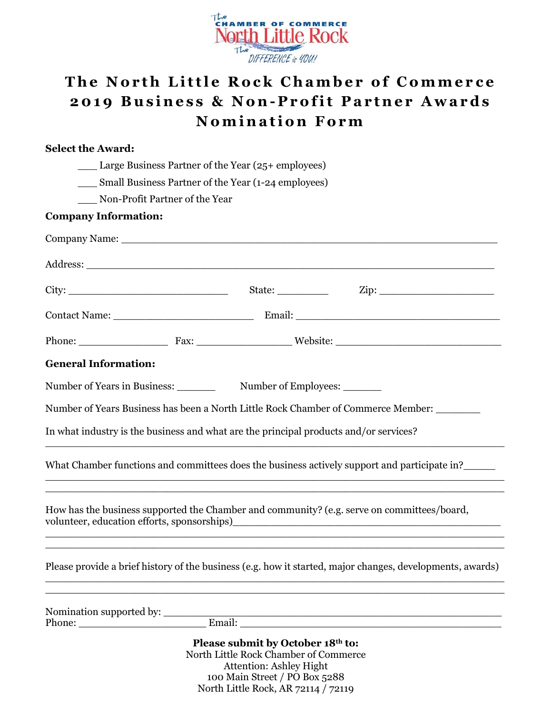

# **The North Little Rock Chamber of Commerce 201 9 B u s i n e s s & N o n- P r o f i t P a r t n e r A w a r d s Nomination Form**

#### **Select the Award:**

\_\_\_ Large Business Partner of the Year (25+ employees)

\_\_\_ Small Business Partner of the Year (1-24 employees)

\_\_\_ Non-Profit Partner of the Year

## **Company Information:**

| <b>General Information:</b>                                                                               |                                                                                                              |                                                           |  |
|-----------------------------------------------------------------------------------------------------------|--------------------------------------------------------------------------------------------------------------|-----------------------------------------------------------|--|
| Number of Years in Business: ________                                                                     |                                                                                                              | Number of Employees:                                      |  |
| Number of Years Business has been a North Little Rock Chamber of Commerce Member: _______                 |                                                                                                              |                                                           |  |
| In what industry is the business and what are the principal products and/or services?                     |                                                                                                              |                                                           |  |
| What Chamber functions and committees does the business actively support and participate in?              |                                                                                                              |                                                           |  |
|                                                                                                           |                                                                                                              |                                                           |  |
| How has the business supported the Chamber and community? (e.g. serve on committees/board,                |                                                                                                              |                                                           |  |
|                                                                                                           |                                                                                                              |                                                           |  |
| Please provide a brief history of the business (e.g. how it started, major changes, developments, awards) |                                                                                                              |                                                           |  |
|                                                                                                           |                                                                                                              |                                                           |  |
|                                                                                                           |                                                                                                              | <u> 2008 - Johann Stoff, amerikansk politik (d. 1982)</u> |  |
|                                                                                                           | Please submit by October 18th to:<br>North Little Rock Chamber of Commerce<br><b>Attention: Ashley Hight</b> |                                                           |  |

100 Main Street / PO Box 5288 North Little Rock, AR 72114 / 72119